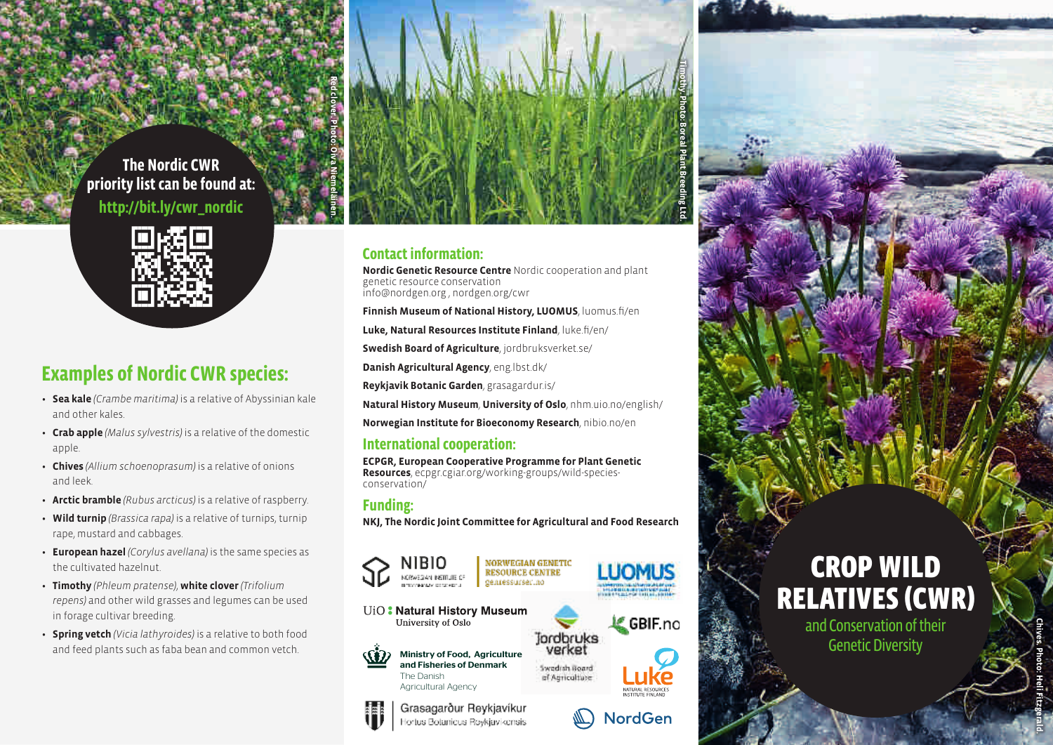### **The Nordic CWR priority list can be found at: http://bit.ly/cwr\_nordic**



# **Examples of Nordic CWR species:**

- **Sea kale** *(Crambe maritima)* is a relative of Abyssinian kale and other kales.
- **Crab apple** *(Malus sylvestris)* is a relative of the domestic apple.
- **Chives** *(Allium schoenoprasum)* is a relative of onions and leek.
- **Arctic bramble** *(Rubus arcticus)* is a relative of raspberry.
- **Wild turnip** *(Brassica rapa)* is a relative of turnips, turnip rape, mustard and cabbages.
- **European hazel** *(Corylus avellana)* is the same species as the cultivated hazelnut.
- **Timothy** *(Phleum pratense)*, **white clover** *(Trifolium repens)* and other wild grasses and legumes can be used in forage cultivar breeding.
- **Spring vetch** *(Vicia lathyroides)* is a relative to both food and feed plants such as faba bean and common vetch.  $\widetilde{\mathfrak{so}}$   $\widetilde{\mathfrak{sp}}$  Ministry of Food, Agriculture



#### **Contact information:**

**Nordic Genetic Resource Centre** Nordic cooperation and plant genetic resource conservation info@nordgen.org , nordgen.org/cwr

**Finnish Museum of National History, LUOMUS**, luomus.fi/en

**Luke, Natural Resources Institute Finland**, luke.fi/en/

**Swedish Board of Agriculture**, jordbruksverket.se/

**Danish Agricultural Agency**, eng.lbst.dk/

**Reykjavik Botanic Garden**, grasagardur.is/

**Natural History Museum**, **University of Oslo**, nhm.uio.no/english/

**Norwegian Institute for Bioeconomy Research**, nibio.no/en

#### **International cooperation:**

**ECPGR, European Cooperative Programme for Plant Genetic Resources**, ecpgr.cgiar.org/working-groups/wild-speciesconservation/

#### **Funding:**

**NKJ, The Nordic Joint Committee for Agricultural and Food Research**